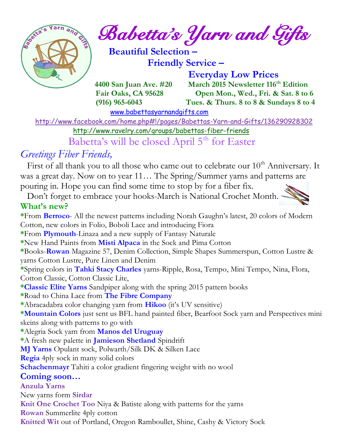

*Babetta's Yarn and Gifts* 

 **Beautiful Selection – Friendly Service –**

 **Everyday Low Prices 4400 San Juan Ave. #20 March 2015 Newsletter 116th Edition Fair Oaks, CA 95628 Open Mon., Wed., Fri. & Sat. 8 to 6 (916) 965-6043 Tues. & Thurs. 8 to 8 & Sundays 8 to 4** 

[www.babettasyarnandgifts.com](http://www.babettasyarnandgifts.com/)

<http://www.facebook.com/home.php#!/pages/Babettas-Yarn-and-Gifts/136290928302>

<http://www.ravelry.com/groups/babettas-fiber-friends>

Babetta's will be closed April 5<sup>th</sup> for Easter

## *Greetings Fiber Friends,*

First of all thank you to all those who came out to celebrate our  $10<sup>th</sup>$  Anniversary. It was a great day. Now on to year 11... The Spring/Summer yarns and patterns are pouring in. Hope you can find some time to stop by for a fiber fix.

 Don't forget to embrace your hooks-March is National Crochet Month. **What's new?**

**\***From **Berroco**- All the newest patterns including Norah Gaughn's latest, 20 colors of Modern Cotton, new colors in Folio, Boboli Lace and introducing Fiora **\***From **Plymouth**-Linaza and a new supply of Fantasy Naturale **\***New Hand Paints from **Misti Alpaca** in the Sock and Pima Cotton **\***Books-**Rowan** Magazine 57, Denim Collection, Simple Shapes Summerspun, Cotton Lustre & yarns Cotton Lustre, Pure Linen and Denim **\***Spring colors in **Tahki Stacy Charles** yarns-Ripple, Rosa, Tempo, Mini Tempo, Nina, Flora, Cotton Classic, Cotton Classic Lite, **\*Classic Elite Yarns** Sandpiper along with the spring 2015 pattern books **\***Road to China Lace from **The Fibre Company \***Abracadabra color changing yarn from **Hikoo** (it's UV sensitive) **\*Mountain Colors** just sent us BFL hand painted fiber, Bearfoot Sock yarn and Perspectives mini skeins along with patterns to go with **\***Alegria Sock yarn from **Manos del Uruguay \***A fresh new palette in **Jamieson Shetland** Spindrift **MJ Yarns** Opulant sock, Polwarth/Silk DK & Silken Lace **Regia** 4ply sock in many solid colors **Schachenmayr** Tahiti a color gradient fingering weight with no wool **Coming soon… Anzula Yarns** New yarns form **Sirdar Knit One Crochet Too** Niya & Batiste along with patterns for the yarns **Rowan** Summerlite 4ply cotton **Knitted Wit** out of Portland, Oregon Ramboullet, Shine, Cashy & Victory Sock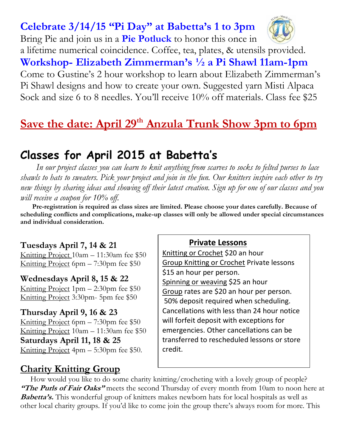## **Celebrate 3/14/15 "Pi Day" at Babetta's 1 to 3pm**



Bring Pie and join us in a **Pie Potluck** to honor this once in a lifetime numerical coincidence. Coffee, tea, plates, & utensils provided. **Workshop- Elizabeth Zimmerman's ½ a Pi Shawl 11am-1pm**  Come to Gustine's 2 hour workshop to learn about Elizabeth Zimmerman's Pi Shawl designs and how to create your own. Suggested yarn Misti Alpaca Sock and size 6 to 8 needles. You'll receive 10% off materials. Class fee \$25

# **Save the date: April 29th Anzula Trunk Show 3pm to 6pm**

# **Classes for April 2015 at Babetta's**

 *In our project classes you can learn to knit anything from scarves to socks to felted purses to lace shawls to hats to sweaters. Pick your project and join in the fun. Our knitters inspire each other to try new things by sharing ideas and showing off their latest creation. Sign up for one of our classes and you will receive a coupon for 10% off.*

 **Pre-registration is required as class sizes are limited. Please choose your dates carefully. Because of scheduling conflicts and complications, make-up classes will only be allowed under special circumstances and individual consideration.**

#### **Tuesdays April 7, 14 & 21**

Knitting Project 10am – 11:30am fee \$50 Knitting Project 6pm – 7:30pm fee \$50

**Wednesdays April 8, 15 & 22** Knitting Project 1pm – 2:30pm fee \$50 Knitting Project 3:30pm- 5pm fee \$50

### **Thursday April 9, 16 & 23**

Knitting Project 6pm – 7:30pm fee \$50 Knitting Project 10am – 11:30am fee \$50 **Saturdays April 11, 18 & 25** Knitting Project 4pm – 5:30pm fee \$50.

#### **Private Lessons**

Knitting or Crochet \$20 an hour Group Knitting or Crochet Private lessons \$15 an hour per person. Spinning or weaving \$25 an hour Group rates are \$20 an hour per person. 50% deposit required when scheduling. Cancellations with less than 24 hour notice will forfeit deposit with exceptions for emergencies. Other cancellations can be transferred to rescheduled lessons or store credit.

### **Charity Knitting Group**

 How would you like to do some charity knitting/crocheting with a lovely group of people? **"The Purls of Fair Oaks"** meets the second Thursday of every month from 10am to noon here at **Babetta's.** This wonderful group of knitters makes newborn hats for local hospitals as well as other local charity groups. If you'd like to come join the group there's always room for more. This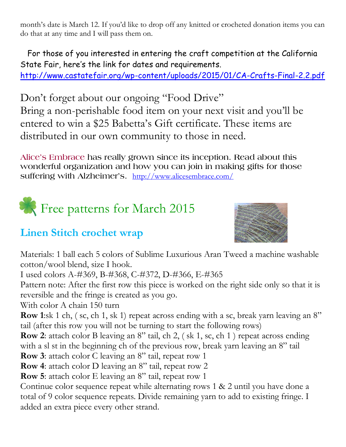month's date is March 12. If you'd like to drop off any knitted or crocheted donation items you can do that at any time and I will pass them on.

 For those of you interested in entering the craft competition at the California State Fair, here's the link for dates and requirements. <http://www.castatefair.org/wp-content/uploads/2015/01/CA-Crafts-Final-2.2.pdf>

Don't forget about our ongoing "Food Drive" Bring a non-perishable food item on your next visit and you'll be entered to win a \$25 Babetta's Gift certificate. These items are distributed in our own community to those in need.

**Alice's Embrace has really grown since its inception. Read about this wonderful organization and how you can join in making gifts for those suffering with Alzheimer's.** <http://www.alicesembrace.com/>



# **Linen Stitch crochet wrap**



Materials: 1 ball each 5 colors of Sublime Luxurious Aran Tweed a machine washable cotton/wool blend, size I hook.

I used colors A-#369, B-#368, C-#372, D-#366, E-#365

Pattern note: After the first row this piece is worked on the right side only so that it is reversible and the fringe is created as you go.

With color A chain 150 turn

**Row 1**:sk 1 ch, (sc, ch 1, sk 1) repeat across ending with a sc, break yarn leaving an 8" tail (after this row you will not be turning to start the following rows)

**Row 2**: attach color B leaving an 8" tail, ch 2, (sk 1, sc, ch 1) repeat across ending with a sl st in the beginning ch of the previous row, break yarn leaving an 8" tail

**Row 3**: attach color C leaving an 8" tail, repeat row 1

**Row 4**: attach color D leaving an 8" tail, repeat row 2

**Row 5**: attach color E leaving an 8" tail, repeat row 1

Continue color sequence repeat while alternating rows 1 & 2 until you have done a total of 9 color sequence repeats. Divide remaining yarn to add to existing fringe. I added an extra piece every other strand.